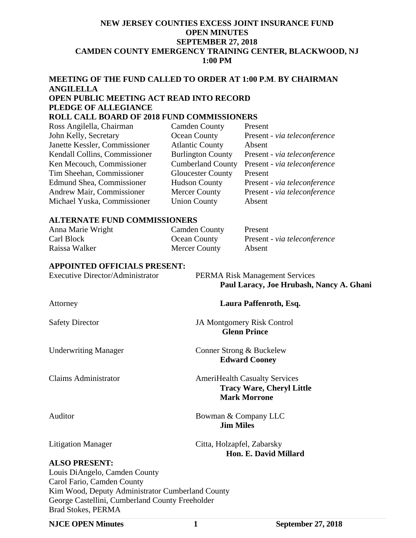#### **NEW JERSEY COUNTIES EXCESS JOINT INSURANCE FUND OPEN MINUTES SEPTEMBER 27, 2018 CAMDEN COUNTY EMERGENCY TRAINING CENTER, BLACKWOOD, NJ 1:00 PM**

# **MEETING OF THE FUND CALLED TO ORDER AT 1:00 P.M**. **BY CHAIRMAN ANGILELLA OPEN PUBLIC MEETING ACT READ INTO RECORD PLEDGE OF ALLEGIANCE**

# **ROLL CALL BOARD OF 2018 FUND COMMISSIONERS**

| Ross Angilella, Chairman      | <b>Camden County</b>     | Present                      |
|-------------------------------|--------------------------|------------------------------|
| John Kelly, Secretary         | Ocean County             | Present - via teleconference |
| Janette Kessler, Commissioner | <b>Atlantic County</b>   | Absent                       |
| Kendall Collins, Commissioner | <b>Burlington County</b> | Present - via teleconference |
| Ken Mecouch, Commissioner     | <b>Cumberland County</b> | Present - via teleconference |
| Tim Sheehan, Commissioner     | <b>Gloucester County</b> | Present                      |
| Edmund Shea, Commissioner     | <b>Hudson County</b>     | Present - via teleconference |
| Andrew Mair, Commissioner     | <b>Mercer County</b>     | Present - via teleconference |
| Michael Yuska, Commissioner   | <b>Union County</b>      | Absent                       |

#### **ALTERNATE FUND COMMISSIONERS**

| Anna Marie Wright | <b>Camden County</b> | Present                      |
|-------------------|----------------------|------------------------------|
| Carl Block        | <b>Ocean County</b>  | Present - via teleconference |
| Raissa Walker     | <b>Mercer County</b> | Absent                       |

## **APPOINTED OFFICIALS PRESENT:**

| <b>Executive Director/Administrator</b>                                      | <b>PERMA Risk Management Services</b><br>Paul Laracy, Joe Hrubash, Nancy A. Ghani               |
|------------------------------------------------------------------------------|-------------------------------------------------------------------------------------------------|
| Attorney                                                                     | Laura Paffenroth, Esq.                                                                          |
| <b>Safety Director</b>                                                       | JA Montgomery Risk Control<br><b>Glenn Prince</b>                                               |
| <b>Underwriting Manager</b>                                                  | Conner Strong & Buckelew<br><b>Edward Cooney</b>                                                |
| <b>Claims Administrator</b>                                                  | <b>AmeriHealth Casualty Services</b><br><b>Tracy Ware, Cheryl Little</b><br><b>Mark Morrone</b> |
| Auditor                                                                      | Bowman & Company LLC<br><b>Jim Miles</b>                                                        |
| <b>Litigation Manager</b>                                                    | Citta, Holzapfel, Zabarsky<br>Hon. E. David Millard                                             |
| <b>ALSO PRESENT:</b>                                                         |                                                                                                 |
| Louis DiAngelo, Camden County                                                |                                                                                                 |
| Carol Fario, Camden County                                                   |                                                                                                 |
| Kim Wood, Deputy Administrator Cumberland County                             |                                                                                                 |
| George Castellini, Cumberland County Freeholder<br><b>Brad Stokes, PERMA</b> |                                                                                                 |
| <b>NJCE OPEN Minutes</b>                                                     | <b>September 27, 2018</b><br>1                                                                  |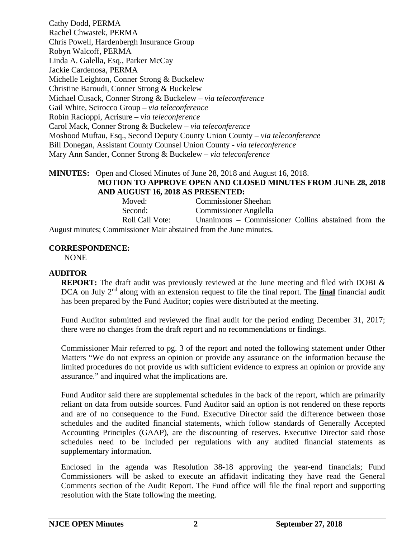Cathy Dodd, PERMA Rachel Chwastek, PERMA Chris Powell, Hardenbergh Insurance Group Robyn Walcoff, PERMA Linda A. Galella, Esq., Parker McCay Jackie Cardenosa, PERMA Michelle Leighton, Conner Strong & Buckelew Christine Baroudi, Conner Strong & Buckelew Michael Cusack, Conner Strong & Buckelew – *via teleconference* Gail White, Scirocco Group – *via teleconference*  Robin Racioppi, Acrisure – *via teleconference* Carol Mack, Conner Strong & Buckelew – *via teleconference*  Moshood Muftau, Esq., Second Deputy County Union County – *via teleconference* Bill Donegan, Assistant County Counsel Union County - *via teleconference* Mary Ann Sander, Conner Strong & Buckelew – *via teleconference*

#### **MINUTES:** Open and Closed Minutes of June 28, 2018 and August 16, 2018. **MOTION TO APPROVE OPEN AND CLOSED MINUTES FROM JUNE 28, 2018 AND AUGUST 16, 2018 AS PRESENTED:**

| Moved:                                                             | <b>Commissioner Sheehan</b>                         |
|--------------------------------------------------------------------|-----------------------------------------------------|
| Second:                                                            | <b>Commissioner Angilella</b>                       |
| Roll Call Vote:                                                    | Unanimous – Commissioner Collins abstained from the |
| August minutes; Commissioner Mair abstained from the June minutes. |                                                     |

# **CORRESPONDENCE:**

NONE

## **AUDITOR**

**REPORT:** The draft audit was previously reviewed at the June meeting and filed with DOBI & DCA on July 2<sup>nd</sup> along with an extension request to file the final report. The **final** financial audit has been prepared by the Fund Auditor; copies were distributed at the meeting.

Fund Auditor submitted and reviewed the final audit for the period ending December 31, 2017; there were no changes from the draft report and no recommendations or findings.

Commissioner Mair referred to pg. 3 of the report and noted the following statement under Other Matters "We do not express an opinion or provide any assurance on the information because the limited procedures do not provide us with sufficient evidence to express an opinion or provide any assurance." and inquired what the implications are.

Fund Auditor said there are supplemental schedules in the back of the report, which are primarily reliant on data from outside sources. Fund Auditor said an option is not rendered on these reports and are of no consequence to the Fund. Executive Director said the difference between those schedules and the audited financial statements, which follow standards of Generally Accepted Accounting Principles (GAAP), are the discounting of reserves. Executive Director said those schedules need to be included per regulations with any audited financial statements as supplementary information.

Enclosed in the agenda was Resolution 38-18 approving the year-end financials; Fund Commissioners will be asked to execute an affidavit indicating they have read the General Comments section of the Audit Report. The Fund office will file the final report and supporting resolution with the State following the meeting.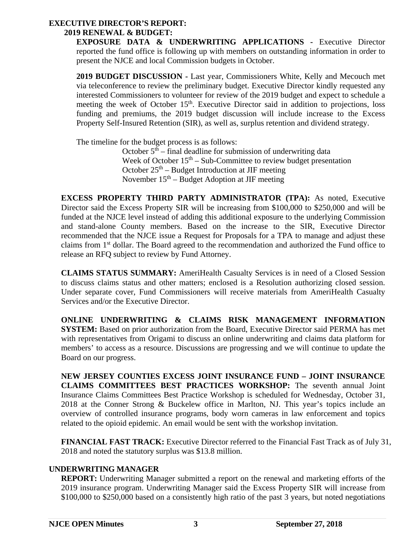# **EXECUTIVE DIRECTOR'S REPORT:**

## **2019 RENEWAL & BUDGET:**

**EXPOSURE DATA & UNDERWRITING APPLICATIONS -** Executive Director reported the fund office is following up with members on outstanding information in order to present the NJCE and local Commission budgets in October.

**2019 BUDGET DISCUSSION -** Last year, Commissioners White, Kelly and Mecouch met via teleconference to review the preliminary budget. Executive Director kindly requested any interested Commissioners to volunteer for review of the 2019 budget and expect to schedule a meeting the week of October 15<sup>th</sup>. Executive Director said in addition to projections, loss funding and premiums, the 2019 budget discussion will include increase to the Excess Property Self-Insured Retention (SIR), as well as, surplus retention and dividend strategy.

The timeline for the budget process is as follows:

October  $5^{th}$  – final deadline for submission of underwriting data Week of October  $15<sup>th</sup> - Sub-Committed to review budget presentation$ October  $25<sup>th</sup>$  – Budget Introduction at JIF meeting November  $15<sup>th</sup>$  – Budget Adoption at JIF meeting

**EXCESS PROPERTY THIRD PARTY ADMINISTRATOR (TPA):** As noted, Executive Director said the Excess Property SIR will be increasing from \$100,000 to \$250,000 and will be funded at the NJCE level instead of adding this additional exposure to the underlying Commission and stand-alone County members. Based on the increase to the SIR, Executive Director recommended that the NJCE issue a Request for Proposals for a TPA to manage and adjust these claims from 1<sup>st</sup> dollar. The Board agreed to the recommendation and authorized the Fund office to release an RFQ subject to review by Fund Attorney.

**CLAIMS STATUS SUMMARY:** AmeriHealth Casualty Services is in need of a Closed Session to discuss claims status and other matters; enclosed is a Resolution authorizing closed session. Under separate cover, Fund Commissioners will receive materials from AmeriHealth Casualty Services and/or the Executive Director.

**ONLINE UNDERWRITING & CLAIMS RISK MANAGEMENT INFORMATION SYSTEM:** Based on prior authorization from the Board, Executive Director said PERMA has met with representatives from Origami to discuss an online underwriting and claims data platform for members' to access as a resource. Discussions are progressing and we will continue to update the Board on our progress.

**NEW JERSEY COUNTIES EXCESS JOINT INSURANCE FUND – JOINT INSURANCE CLAIMS COMMITTEES BEST PRACTICES WORKSHOP:** The seventh annual Joint Insurance Claims Committees Best Practice Workshop is scheduled for Wednesday, October 31, 2018 at the Conner Strong & Buckelew office in Marlton, NJ. This year's topics include an overview of controlled insurance programs, body worn cameras in law enforcement and topics related to the opioid epidemic. An email would be sent with the workshop invitation.

**FINANCIAL FAST TRACK:** Executive Director referred to the Financial Fast Track as of July 31, 2018 and noted the statutory surplus was \$13.8 million.

# **UNDERWRITING MANAGER**

**REPORT:** Underwriting Manager submitted a report on the renewal and marketing efforts of the 2019 insurance program. Underwriting Manager said the Excess Property SIR will increase from \$100,000 to \$250,000 based on a consistently high ratio of the past 3 years, but noted negotiations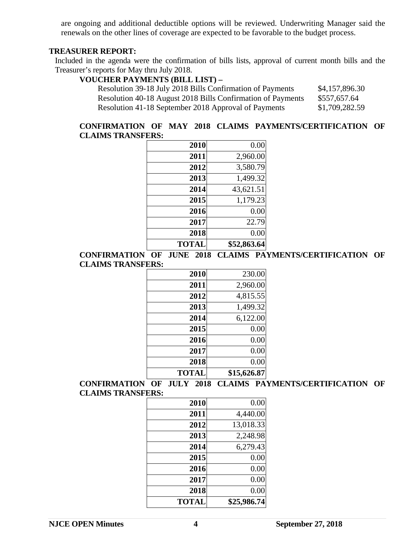are ongoing and additional deductible options will be reviewed. Underwriting Manager said the renewals on the other lines of coverage are expected to be favorable to the budget process.

#### **TREASURER REPORT:**

Included in the agenda were the confirmation of bills lists, approval of current month bills and the Treasurer's reports for May thru July 2018.

# **VOUCHER PAYMENTS (BILL LIST) –**

| Resolution 39-18 July 2018 Bills Confirmation of Payments   | \$4,157,896.30 |
|-------------------------------------------------------------|----------------|
| Resolution 40-18 August 2018 Bills Confirmation of Payments | \$557,657.64   |
| Resolution 41-18 September 2018 Approval of Payments        | \$1,709,282.59 |

#### **CONFIRMATION OF MAY 2018 CLAIMS PAYMENTS/CERTIFICATION OF CLAIMS TRANSFERS:**

| 2010         | 0.00        |
|--------------|-------------|
| 2011         | 2,960.00    |
| 2012         | 3,580.79    |
| 2013         | 1,499.32    |
| 2014         | 43,621.51   |
| 2015         | 1,179.23    |
| 2016         | 0.00        |
| 2017         | 22.79       |
| 2018         | 0.00        |
| <b>TOTAL</b> | \$52,863.64 |

**CONFIRMATION OF JUNE 2018 CLAIMS PAYMENTS/CERTIFICATION OF CLAIMS TRANSFERS:** 

| 2010         | 230.00      |
|--------------|-------------|
| 2011         | 2,960.00    |
| 2012         | 4,815.55    |
| 2013         | 1,499.32    |
| 2014         | 6,122.00    |
| 2015         | 0.00        |
| 2016         | 0.00        |
| 2017         | 0.00        |
| 2018         | 0.00        |
| <b>TOTAL</b> | \$15,626.87 |

## **CONFIRMATION OF JULY 2018 CLAIMS PAYMENTS/CERTIFICATION OF CLAIMS TRANSFERS:**

| 2010         | 0.00        |
|--------------|-------------|
| 2011         | 4,440.00    |
| 2012         | 13,018.33   |
| 2013         | 2,248.98    |
| 2014         | 6,279.43    |
| 2015         | 0.00        |
| 2016         | 0.00        |
| 2017         | 0.00        |
| 2018         | 0.00        |
| <b>TOTAL</b> | \$25,986.74 |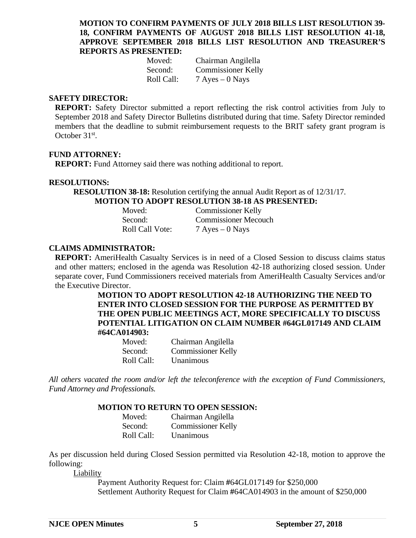#### **MOTION TO CONFIRM PAYMENTS OF JULY 2018 BILLS LIST RESOLUTION 39- 18, CONFIRM PAYMENTS OF AUGUST 2018 BILLS LIST RESOLUTION 41-18, APPROVE SEPTEMBER 2018 BILLS LIST RESOLUTION AND TREASURER'S REPORTS AS PRESENTED:**

| Moved:     | Chairman Angilella        |
|------------|---------------------------|
| Second:    | <b>Commissioner Kelly</b> |
| Roll Call: | $7$ Ayes $-0$ Nays        |

#### **SAFETY DIRECTOR:**

**REPORT:** Safety Director submitted a report reflecting the risk control activities from July to September 2018 and Safety Director Bulletins distributed during that time. Safety Director reminded members that the deadline to submit reimbursement requests to the BRIT safety grant program is October 31st.

#### **FUND ATTORNEY:**

**REPORT:** Fund Attorney said there was nothing additional to report.

#### **RESOLUTIONS:**

**RESOLUTION 38-18:** Resolution certifying the annual Audit Report as of 12/31/17. **MOTION TO ADOPT RESOLUTION 38-18 AS PRESENTED:** 

| Moved:          | <b>Commissioner Kelly</b>   |
|-----------------|-----------------------------|
| Second:         | <b>Commissioner Mecouch</b> |
| Roll Call Vote: | $7$ Ayes $-0$ Nays          |

#### **CLAIMS ADMINISTRATOR:**

**REPORT:** AmeriHealth Casualty Services is in need of a Closed Session to discuss claims status and other matters; enclosed in the agenda was Resolution 42-18 authorizing closed session. Under separate cover, Fund Commissioners received materials from AmeriHealth Casualty Services and/or the Executive Director.

> **MOTION TO ADOPT RESOLUTION 42-18 AUTHORIZING THE NEED TO ENTER INTO CLOSED SESSION FOR THE PURPOSE AS PERMITTED BY THE OPEN PUBLIC MEETINGS ACT, MORE SPECIFICALLY TO DISCUSS POTENTIAL LITIGATION ON CLAIM NUMBER #64GL017149 AND CLAIM #64CA014903:**

| Moved:     | Chairman Angilella        |
|------------|---------------------------|
| Second:    | <b>Commissioner Kelly</b> |
| Roll Call: | Unanimous                 |

*All others vacated the room and/or left the teleconference with the exception of Fund Commissioners, Fund Attorney and Professionals.* 

#### **MOTION TO RETURN TO OPEN SESSION:**

| Moved:     | Chairman Angilella        |
|------------|---------------------------|
| Second:    | <b>Commissioner Kelly</b> |
| Roll Call: | Unanimous                 |

As per discussion held during Closed Session permitted via Resolution 42-18, motion to approve the following:

Liability

Payment Authority Request for: Claim **#**64GL017149 for \$250,000 Settlement Authority Request for Claim **#**64CA014903 in the amount of \$250,000